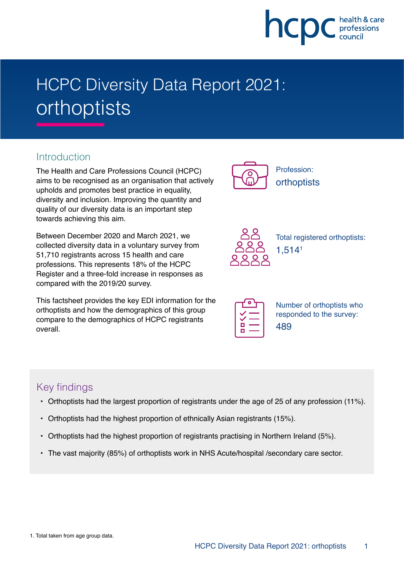

# HCPC Diversity Data Report 2021: orthoptists

## **Introduction**

The Health and Care Professions Council (HCPC) aims to be recognised as an organisation that actively upholds and promotes best practice in equality, diversity and inclusion. Improving the quantity and quality of our diversity data is an important step towards achieving this aim.

Between December 2020 and March 2021, we collected diversity data in a voluntary survey from 51,710 registrants across 15 health and care professions. This represents 18% of the HCPC Register and a three-fold increase in responses as compared with the 2019/20 survey.

This factsheet provides the key EDI information for the orthoptists and how the demographics of this group compare to the demographics of HCPC registrants overall.



Profession: **orthoptists** 



Total registered orthoptists: 1,5141

| г |  |
|---|--|
|   |  |

Number of orthoptists who responded to the survey: 489

## Key findings

- Orthoptists had the largest proportion of registrants under the age of 25 of any profession (11%).
- Orthoptists had the highest proportion of ethnically Asian registrants (15%).
- Orthoptists had the highest proportion of registrants practising in Northern Ireland (5%).
- The vast majority (85%) of orthoptists work in NHS Acute/hospital /secondary care sector.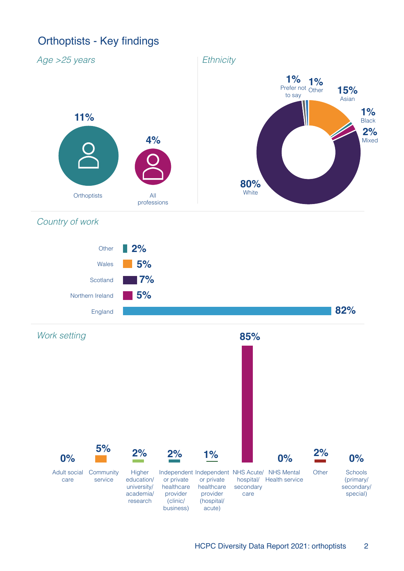# Orthoptists - Key findings

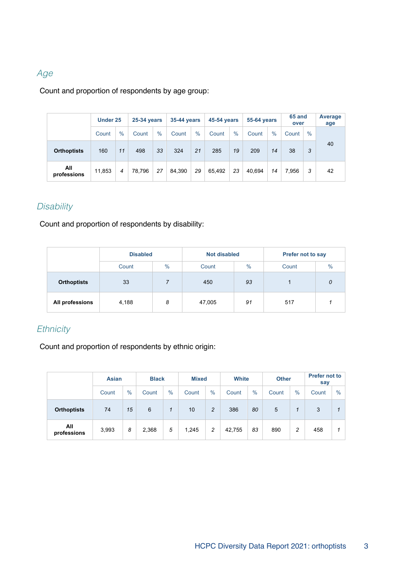### Age

#### Count and proportion of respondents by age group:

|                    | Under 25 |      | <b>25-34 years</b> |               | <b>35-44 years</b> |               | <b>45-54 years</b> |      | <b>55-64 years</b> |               | 65 and<br>over |      | Average<br>age |
|--------------------|----------|------|--------------------|---------------|--------------------|---------------|--------------------|------|--------------------|---------------|----------------|------|----------------|
|                    | Count    | $\%$ | Count              | $\frac{0}{0}$ | Count              | $\frac{0}{0}$ | Count              | $\%$ | Count              | $\frac{0}{0}$ | Count          | $\%$ |                |
| <b>Orthoptists</b> | 160      | 11   | 498                | 33            | 324                | 21            | 285                | 19   | 209                | 14            | 38             | 3    | 40             |
| All<br>professions | 11,853   | 4    | 78.796             | 27            | 84.390             | 29            | 65.492             | 23   | 40.694             | 14            | 7.956          | 3    | 42             |

## **Disability**

Count and proportion of respondents by disability:

|                    | <b>Disabled</b> |   | <b>Not disabled</b> |               | <b>Prefer not to say</b> |   |  |
|--------------------|-----------------|---|---------------------|---------------|--------------------------|---|--|
|                    | $\%$<br>Count   |   | Count               | $\frac{0}{0}$ | $\frac{9}{6}$<br>Count   |   |  |
| <b>Orthoptists</b> | 33              |   | 450                 | 93            |                          | 0 |  |
| All professions    | 4,188           | 8 | 47,005              | 91            | 517                      |   |  |

#### **Ethnicity**

Count and proportion of respondents by ethnic origin:

|                    | <b>Asian</b> |               | <b>Black</b> |               |       | <b>Mixed</b> |        | <b>White</b> |               | <b>Other</b> | <b>Prefer not to</b><br>say |      |
|--------------------|--------------|---------------|--------------|---------------|-------|--------------|--------|--------------|---------------|--------------|-----------------------------|------|
|                    | Count        | $\frac{9}{6}$ | Count        | $\frac{9}{6}$ | Count | $\%$         | Count  | $\%$         | $\%$<br>Count |              | Count                       | $\%$ |
| <b>Orthoptists</b> | 74           | 15            | 6            | 1             | 10    | 2            | 386    | 80           | 5             | 1            | 3                           |      |
| All<br>professions | 3,993        | 8             | 2,368        | 5             | 1,245 | 2            | 42,755 | 83           | 890           | 2            | 458                         |      |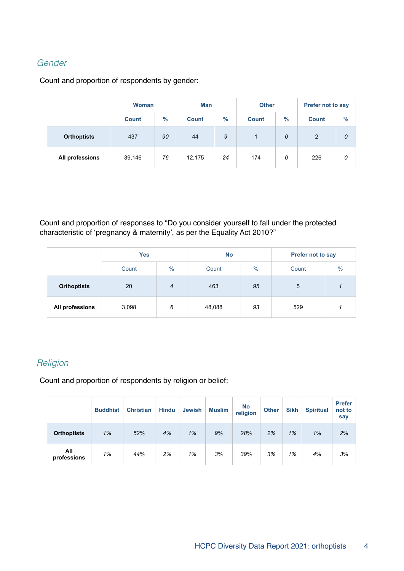#### Gender

Count and proportion of respondents by gender:

|                    | <b>Woman</b> |      | <b>Man</b>   |      | <b>Other</b> |               | Prefer not to say |      |  |
|--------------------|--------------|------|--------------|------|--------------|---------------|-------------------|------|--|
|                    | <b>Count</b> | $\%$ | <b>Count</b> | $\%$ | <b>Count</b> | $\frac{9}{6}$ | <b>Count</b>      | $\%$ |  |
| <b>Orthoptists</b> | 437          | 90   | 44           | 9    | 1            | 0             | $\overline{2}$    | 0    |  |
| All professions    | 39,146       | 76   | 12,175       | 24   | 174          | 0             | 226               | 0    |  |

Count and proportion of responses to "Do you consider yourself to fall under the protected characteristic of 'pregnancy & maternity', as per the Equality Act 2010?"

|                    | <b>Yes</b>    |   | <b>No</b> |               | <b>Prefer not to say</b> |      |  |
|--------------------|---------------|---|-----------|---------------|--------------------------|------|--|
|                    | $\%$<br>Count |   | Count     | $\frac{0}{0}$ | Count                    | $\%$ |  |
| <b>Orthoptists</b> | 20            | 4 |           | 95            | 5                        |      |  |
| All professions    | 3,098         | 6 | 48,088    | 93            | 529                      |      |  |

#### **Religion**

Count and proportion of respondents by religion or belief:

|                    | <b>Buddhist</b> | <b>Christian</b> | <b>Hindu</b> | <b>Jewish</b> | <b>Muslim</b> | <b>No</b><br>religion | <b>Other</b> | <b>Sikh</b> | <b>Spiritual</b> | <b>Prefer</b><br>not to<br>say |
|--------------------|-----------------|------------------|--------------|---------------|---------------|-----------------------|--------------|-------------|------------------|--------------------------------|
| <b>Orthoptists</b> | 1%              | 52%              | 4%           | 1%            | 9%            | 28%                   | 2%           | 1%          | 1%               | 2%                             |
| All<br>professions | 1%              | 44%              | 2%           | 1%            | 3%            | 39%                   | 3%           | 1%          | 4%               | 3%                             |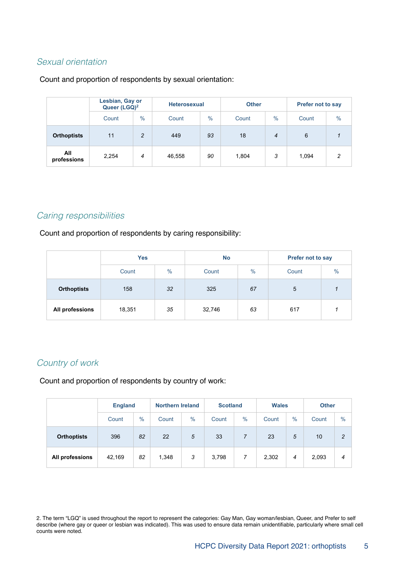#### Sexual orientation

#### Count and proportion of respondents by sexual orientation:

|                    | Lesbian, Gay or<br>Queer (LGQ) <sup>2</sup> |               | <b>Heterosexual</b> |               | <b>Other</b> |                | <b>Prefer not to say</b> |               |  |
|--------------------|---------------------------------------------|---------------|---------------------|---------------|--------------|----------------|--------------------------|---------------|--|
|                    | Count                                       | $\frac{0}{0}$ | Count               | $\frac{0}{0}$ | Count        | $\frac{0}{0}$  | Count                    | $\frac{0}{0}$ |  |
| <b>Orthoptists</b> | 11                                          | 2             | 449                 |               | 18           | $\overline{4}$ | 6                        |               |  |
| All<br>professions | 2,254                                       | 4             | 46,558              | 90            | 1,804        | 3              | 1,094                    | $\mathcal{P}$ |  |

#### Caring responsibilities

Count and proportion of respondents by caring responsibility:

|                    | <b>Yes</b>             |    | <b>No</b> |      | <b>Prefer not to say</b> |      |  |
|--------------------|------------------------|----|-----------|------|--------------------------|------|--|
|                    | $\frac{0}{0}$<br>Count |    | Count     | $\%$ | Count                    | $\%$ |  |
| <b>Orthoptists</b> | 32<br>158              |    | 325       | 67   | 5                        |      |  |
| All professions    | 18,351                 | 35 | 32,746    | 63   | 617                      |      |  |

#### Country of work

Count and proportion of respondents by country of work:

|                    |        | <b>England</b> |       | <b>Northern Ireland</b> |       | <b>Scotland</b> | <b>Wales</b> |      | <b>Other</b> |               |
|--------------------|--------|----------------|-------|-------------------------|-------|-----------------|--------------|------|--------------|---------------|
|                    | Count  | $\%$           | Count | $\%$                    | Count | $\%$            | Count        | $\%$ | Count        | $\frac{0}{0}$ |
| <b>Orthoptists</b> | 396    | 82             | 22    | 5                       | 33    |                 | 23           | 5    | 10           | $\mathcal{P}$ |
| All professions    | 42,169 | 82             | 1,348 | 3                       | 3,798 | 7               | 2,302        | 4    | 2,093        | 4             |

2. The term "LGQ" is used throughout the report to represent the categories: Gay Man, Gay woman/lesbian, Queer, and Prefer to self describe (where gay or queer or lesbian was indicated). This was used to ensure data remain unidentifiable, particularly where small cell counts were noted.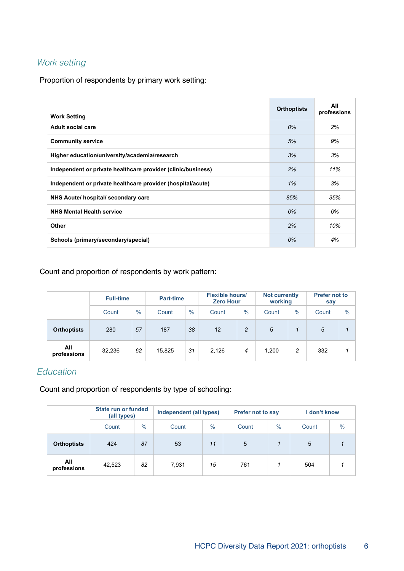#### Work setting

Proportion of respondents by primary work setting:

| <b>Work Setting</b>                                          | <b>Orthoptists</b> | All<br>professions |
|--------------------------------------------------------------|--------------------|--------------------|
| Adult social care                                            | 0%                 | 2%                 |
| <b>Community service</b>                                     | 5%                 | 9%                 |
| Higher education/university/academia/research                | 3%                 | 3%                 |
| Independent or private healthcare provider (clinic/business) | 2%                 | 11%                |
| Independent or private healthcare provider (hospital/acute)  | 1%                 | 3%                 |
| NHS Acute/ hospital/ secondary care                          | 85%                | 35%                |
| <b>NHS Mental Health service</b>                             | 0%                 | 6%                 |
| Other                                                        | 2%                 | 10%                |
| Schools (primary/secondary/special)                          | 0%                 | 4%                 |

#### Count and proportion of respondents by work pattern:

|                    | <b>Full-time</b> |      | <b>Part-time</b> |               | <b>Flexible hours/</b><br><b>Zero Hour</b> |                | <b>Not currently</b><br>working |               | <b>Prefer not to</b><br>say |      |
|--------------------|------------------|------|------------------|---------------|--------------------------------------------|----------------|---------------------------------|---------------|-----------------------------|------|
|                    | Count            | $\%$ | Count            | $\frac{0}{0}$ | Count                                      | $\frac{0}{0}$  | Count                           | $\frac{0}{0}$ | Count                       | $\%$ |
| <b>Orthoptists</b> | 280              | 57   | 187              | 38            | 12                                         | $\overline{2}$ | 5                               |               | 5                           |      |
| All<br>professions | 32,236           | 62   | 15,825           | 31            | 2,126                                      | 4              | 1,200                           | 2             | 332                         |      |

### Education

Count and proportion of respondents by type of schooling:

|                    | State run or funded<br>(all types) |               | Independent (all types) |               | <b>Prefer not to say</b> |      | don't know |      |
|--------------------|------------------------------------|---------------|-------------------------|---------------|--------------------------|------|------------|------|
|                    | Count                              | $\frac{0}{0}$ | Count                   | $\frac{0}{0}$ | Count                    | $\%$ | Count      | $\%$ |
| <b>Orthoptists</b> | 424                                | 87            | 53                      | 11            | 5                        |      | 5          |      |
| All<br>professions | 42,523                             | 82            | 7,931                   | 15            | 761                      |      | 504        |      |